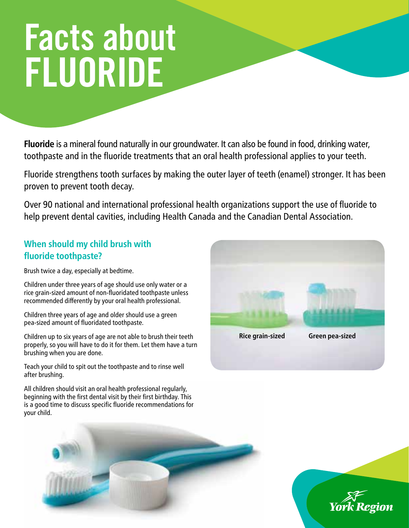# Facts about FLUORIDE

**Fluoride** is a mineral found naturally in our groundwater. It can also be found in food, drinking water, toothpaste and in the fluoride treatments that an oral health professional applies to your teeth.

Fluoride strengthens tooth surfaces by making the outer layer of teeth (enamel) stronger. It has been proven to prevent tooth decay.

Over 90 national and international professional health organizations support the use of fluoride to help prevent dental cavities, including Health Canada and the Canadian Dental Association.

## **When should my child brush with fluoride toothpaste?**

Brush twice a day, especially at bedtime.

Children under three years of age should use only water or a rice grain-sized amount of non-fluoridated toothpaste unless recommended differently by your oral health professional.

Children three years of age and older should use a green pea-sized amount of fluoridated toothpaste.

Children up to six years of age are not able to brush their teeth properly, so you will have to do it for them. Let them have a turn brushing when you are done.

Teach your child to spit out the toothpaste and to rinse well after brushing.

All children should visit an oral health professional regularly, beginning with the first dental visit by their first birthday. This is a good time to discuss specific fluoride recommendations for your child.